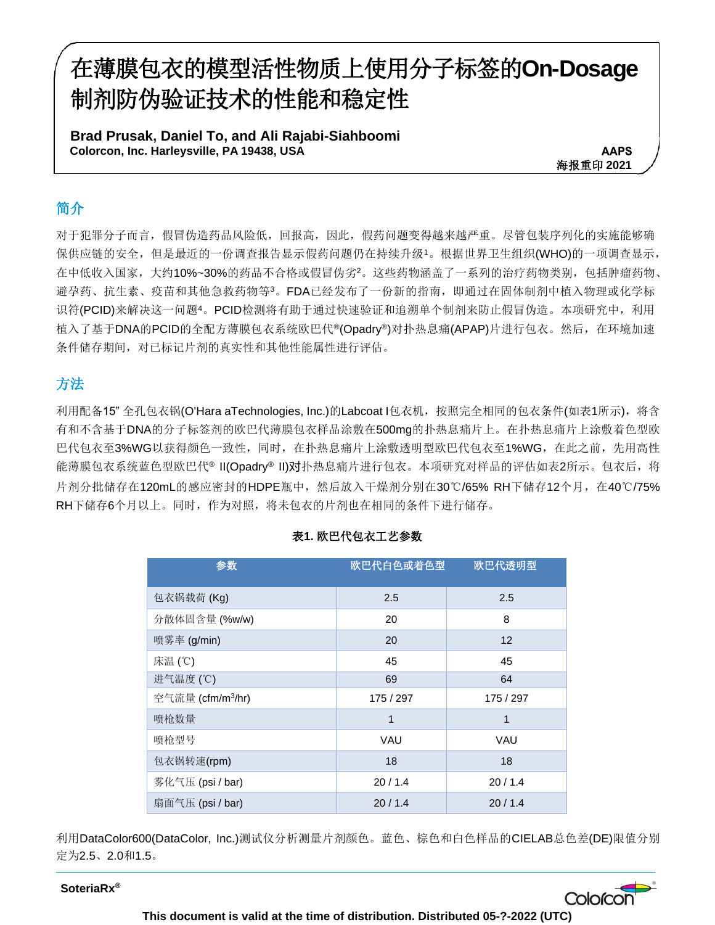# 在薄膜包衣的模型活性物质上使用分子标签的**On-Dosage**  制剂防伪验证技术的性能和稳定性

**Brad Prusak, Daniel To, and Ali Rajabi-Siahboomi Colorcon, Inc. Harleysville, PA 19438, USA** 

**AAPS** 海报重印 **2021**

# 简介

对于犯罪分子而言,假冒伪造药品风险低,回报高,因此,假药问题变得越来越严重。尽管包装序列化的实施能够确 保供应链的安全,但是最近的一份调查报告显示假药问题仍在持续升级1。根据世界卫生组织(WHO)的一项调查显示, 在中低收入国家,大约10%~30%的药品不合格或假冒伪劣2。这些药物涵盖了一系列的治疗药物类别,包括肿瘤药物、 避孕药、抗生素、疫苗和其他急救药物等3。FDA已经发布了一份新的指南,即通过在固体制剂中植入物理或化学标 识符(PCID)来解决这一问题4。PCID检测将有助于通过快速验证和追溯单个制剂来防止假冒伪造。本项研究中,利用 植入了基于DNA的PCID的全配方薄膜包衣系统欧巴代®(Opadry®)对扑热息痛(APAP)片进行包衣。然后,在环境加速 条件储存期间,对已标记片剂的真实性和其他性能属性进行评估。

## 方法

利用配备15" 全孔包衣锅(O'Hara aTechnologies, Inc.)的Labcoat I包衣机,按照完全相同的包衣条件(如表1所示),将含 有和不含基于DNA的分子标签剂的欧巴代薄膜包衣样品涂敷在500mg的扑热息痛片上。在扑热息痛片上涂敷着色型欧 巴代包衣至3%WG以获得颜色一致性,同时,在扑热息痛片上涂敷透明型欧巴代包衣至1%WG,在此之前,先用高性 能薄膜包衣系统蓝色型欧巴代® II(Opadry® II)对扑热息痛片进行包衣。本项研究对样品的评估如表2所示。包衣后,将 片剂分批储存在120mL的感应密封的HDPE瓶中,然后放入干燥剂分别在30℃/65% RH下储存12个月, 在40℃/75% RH下储存6个月以上。同时,作为对照,将未包衣的片剂也在相同的条件下进行储存。

| 参数                            | 欧巴代白色或着色型 | 欧巴代透明型    |
|-------------------------------|-----------|-----------|
| 包衣锅载荷 (Kg)                    | 2.5       | 2.5       |
| 分散体固含量 (%w/w)                 | 20        | 8         |
| 喷雾率 (g/min)                   | 20        | 12        |
| 床温 (℃)                        | 45        | 45        |
| 进气温度 (℃)                      | 69        | 64        |
| 空气流量 (cfm/m <sup>3</sup> /hr) | 175 / 297 | 175 / 297 |
| 喷枪数量                          | 1         | 1         |
| 喷枪型号                          | VAU       | VAU       |
| 包衣锅转速(rpm)                    | 18        | 18        |
| 雾化气压 (psi / bar)              | 20/1.4    | 20/1.4    |
| 扇面气压 (psi / bar)              | 20/1.4    | 20/1.4    |

#### 表**1.** 欧巴代包衣工艺参数

利用DataColor600(DataColor, Inc.)测试仪分析测量片剂颜色。蓝色、棕色和白色样品的CIELAB总色差(DE)限值分别 定为2.5、2.0和1.5。

**SoteriaRx®**

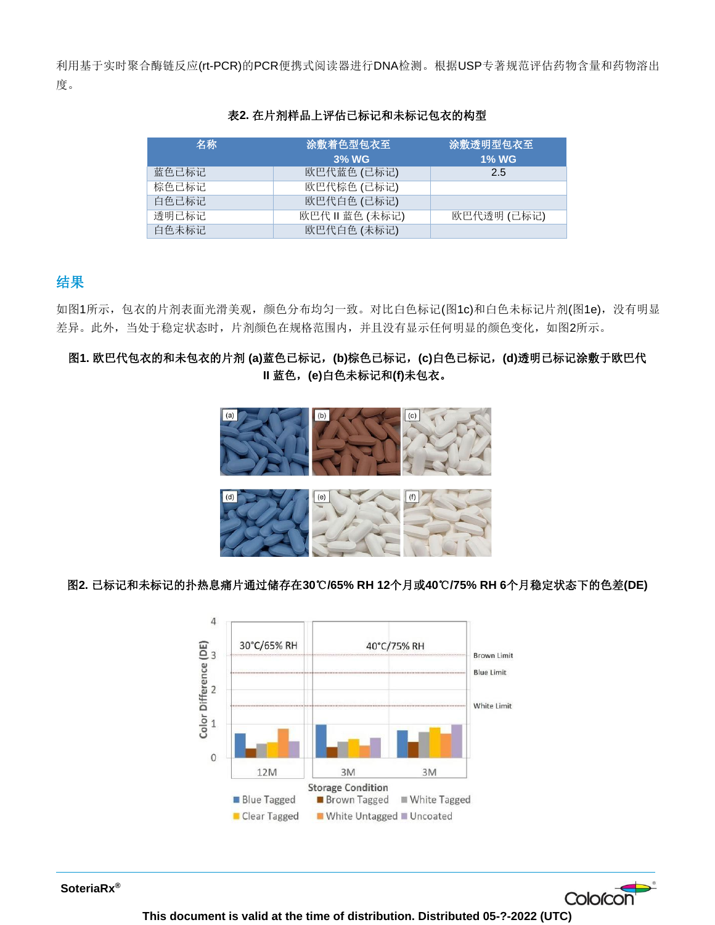利用基于实时聚合酶链反应(rt-PCR)的PCR便携式阅读器进行DNA检测。根据USP专著规范评估药物含量和药物溶出 度。

| 名称    | 涂敷着色型包衣至    | 涂敷透明型包衣至     |
|-------|-------------|--------------|
|       | 3% WG       | <b>1% WG</b> |
| 蓝色已标记 | 欧巴代蓝色 (已标记) | 2.5          |
| 棕色已标记 | 欧巴代棕色 (已标记) |              |
| 白色已标记 | 欧巴代白色 (已标记) |              |
| 透明已标记 | 欧巴代Ⅱ蓝色(未标记) | 欧巴代透明 (已标记)  |
| 白色未标记 | 欧巴代白色 (未标记) |              |

#### 表**2.** 在片剂样品上评估已标记和未标记包衣的构型

## 结果

如图1所示,包衣的片剂表面光滑美观,颜色分布均匀一致。对比白色标记(图1c)和白色未标记片剂(图1e),没有明显 差异。此外,当处于稳定状态时,片剂颜色在规格范围内,并且没有显示任何明显的颜色变化,如图2所示。

### 图**1.** 欧巴代包衣的和未包衣的片剂 **(a)**蓝色已标记,**(b)**棕色已标记,**(c)**白色已标记,**(d)**透明已标记涂敷于欧巴代 **II** 蓝色,**(e)**白色未标记和**(f)**未包衣。



#### 图**2.** 已标记和未标记的扑热息痛片通过储存在**30**℃**/65% RH 12**个月或**40**℃**/75% RH 6**个月稳定状态下的色差**(DE)**



**SoteriaRx®**

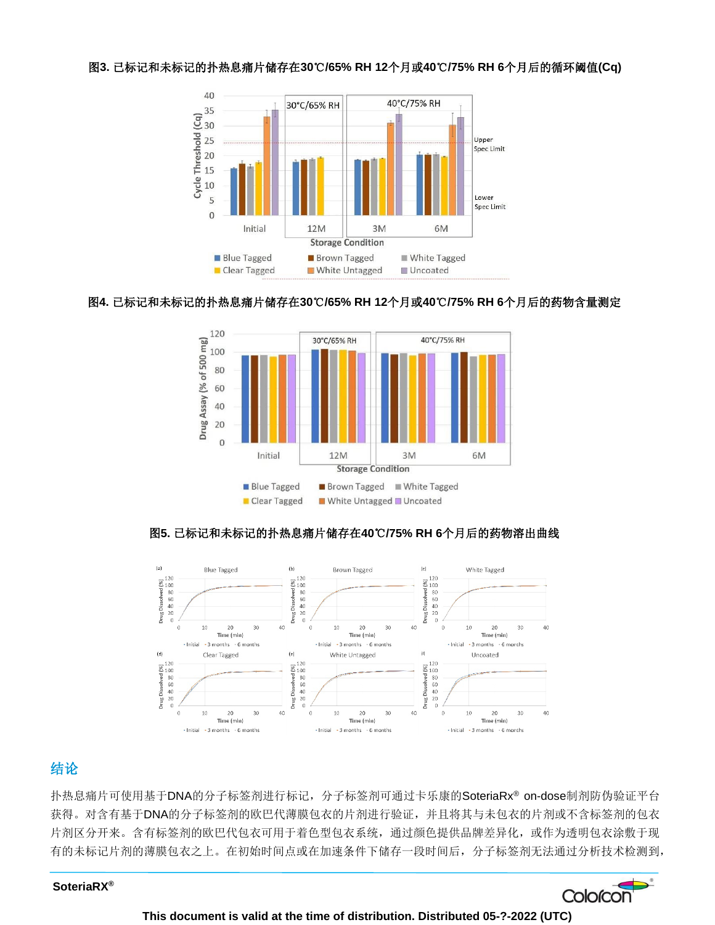#### 图**3.** 已标记和未标记的扑热息痛片储存在**30**℃**/65% RH 12**个月或**40**℃**/75% RH 6**个月后的循环阈值**(Cq)**



#### 图**4.** 已标记和未标记的扑热息痛片储存在**30**℃**/65% RH 12**个月或**40**℃**/75% RH 6**个月后的药物含量测定



#### 图**5.** 已标记和未标记的扑热息痛片储存在**40**℃**/75% RH 6**个月后的药物溶出曲线



## 结论

扑热息痛片可使用基于DNA的分子标签剂进行标记,分子标签剂可通过卡乐康的SoteriaRx® on-dose制剂防伪验证平台 获得。对含有基于DNA的分子标签剂的欧巴代薄膜包衣的片剂进行验证,并且将其与未包衣的片剂或不含标签剂的包衣 片剂区分开来。含有标签剂的欧巴代包衣可用于着色型包衣系统,通过颜色提供品牌差异化,或作为透明包衣涂敷于现 有的未标记片剂的薄膜包衣之上。在初始时间点或在加速条件下储存一段时间后,分子标签剂无法通过分析技术检测到,

#### **SoteriaRX®**